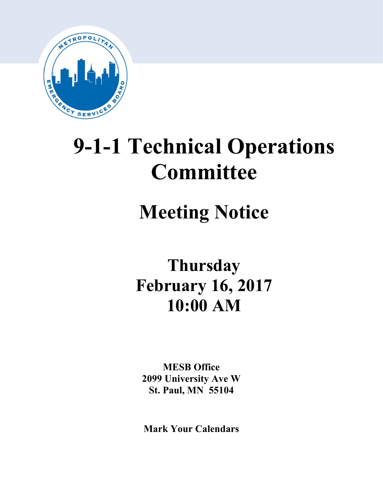

# **9-1-1 Technical Operations Committee**

# **Meeting Notice**

# **Thursday February 16, 2017 10:00 AM**

**MESB Office 2099 University Ave W St. Paul, MN 55104**

**Mark Your Calendars**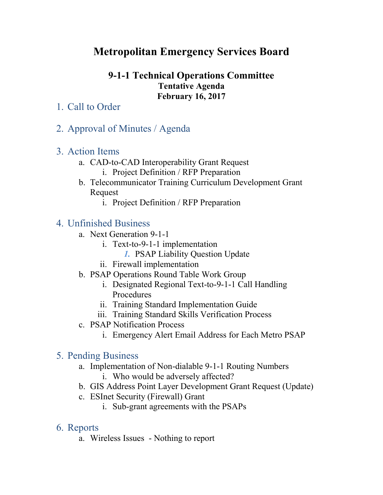# **Metropolitan Emergency Services Board**

### **9-1-1 Technical Operations Committee Tentative Agenda February 16, 2017**

- 1. Call to Order
- 2. Approval of Minutes / Agenda
- 3. Action Items
	- a. CAD-to-CAD Interoperability Grant Request
		- i. Project Definition / RFP Preparation
	- b. Telecommunicator Training Curriculum Development Grant Request
		- i. Project Definition / RFP Preparation

## 4. Unfinished Business

- a. Next Generation 9-1-1
	- i. Text-to-9-1-1 implementation
		- *1.* PSAP Liability Question Update
	- ii. Firewall implementation
- b. PSAP Operations Round Table Work Group
	- i. Designated Regional Text-to-9-1-1 Call Handling Procedures
	- ii. Training Standard Implementation Guide
	- iii. Training Standard Skills Verification Process
- c. PSAP Notification Process
	- i. Emergency Alert Email Address for Each Metro PSAP

## 5. Pending Business

- a. Implementation of Non-dialable 9-1-1 Routing Numbers
	- i. Who would be adversely affected?
- b. GIS Address Point Layer Development Grant Request (Update)
- c. ESInet Security (Firewall) Grant
	- i. Sub-grant agreements with the PSAPs

## 6. Reports

a. Wireless Issues - Nothing to report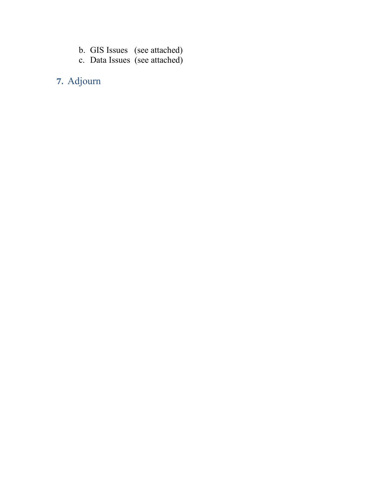- b. GIS Issues (see attached)
- c. Data Issues (see attached)

# **7.** Adjourn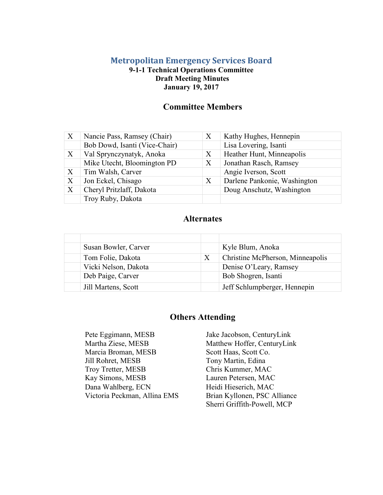#### **Metropolitan Emergency Services Board**

#### **9-1-1 Technical Operations Committee Draft Meeting Minutes January 19, 2017**

#### **Committee Members**

| $\boldsymbol{X}$ | Nancie Pass, Ramsey (Chair)   | X | Kathy Hughes, Hennepin       |
|------------------|-------------------------------|---|------------------------------|
|                  | Bob Dowd, Isanti (Vice-Chair) |   | Lisa Lovering, Isanti        |
| $\boldsymbol{X}$ | Val Sprynczynatyk, Anoka      | X | Heather Hunt, Minneapolis    |
|                  | Mike Utecht, Bloomington PD   | X | Jonathan Rasch, Ramsey       |
| X                | Tim Walsh, Carver             |   | Angie Iverson, Scott         |
| X                | Jon Eckel, Chisago            | X | Darlene Pankonie, Washington |
| X                | Cheryl Pritzlaff, Dakota      |   | Doug Anschutz, Washington    |
|                  | Troy Ruby, Dakota             |   |                              |

#### **Alternates**

| Susan Bowler, Carver |   | Kyle Blum, Anoka                 |
|----------------------|---|----------------------------------|
| Tom Folie, Dakota    | X | Christine McPherson, Minneapolis |
| Vicki Nelson, Dakota |   | Denise O'Leary, Ramsey           |
| Deb Paige, Carver    |   | Bob Shogren, Isanti              |
| Jill Martens, Scott  |   | Jeff Schlumpberger, Hennepin     |

#### **Others Attending**

Pete Eggimann, MESB Jake Jacobson, CenturyLink Martha Ziese, MESB Matthew Hoffer, CenturyLink Marcia Broman, MESB Jill Rohret, MESB Troy Tretter, MESB Kay Simons, MESB Lauren Petersen, MAC Dana Wahlberg, ECN Heidi Hieserich, MAC Victoria Peckman, Allina EMS Brian Kyllonen, PSC Alliance

Scott Haas, Scott Co. Tony Martin, Edina Chris Kummer, MAC Sherri Griffith-Powell, MCP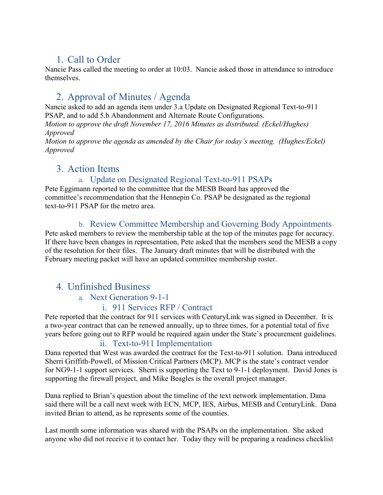# 1. Call to Order

Nancie Pass called the meeting to order at 10:03. Nancie asked those in attendance to introduce themselves.

# 2. Approval of Minutes / Agenda

Nancie asked to add an agenda item under 3.a Update on Designated Regional Text-to-911 PSAP, and to add 5.b Abandonment and Alternate Route Configurations.

*Motion to approve the draft November 17, 2016 Minutes as distributed. (Eckel/Hughes) Approved*

*Motion to approve the agenda as amended by the Chair for today's meeting. (Hughes/Eckel) Approved*

## 3. Action Items

#### a. Update on Designated Regional Text-to-911 PSAPs

Pete Eggimann reported to the committee that the MESB Board has approved the committee's recommendation that the Hennepin Co. PSAP be designated as the regional text-to-911 PSAP for the metro area.

#### b. Review Committee Membership and Governing Body Appointments

Pete asked members to review the membership table at the top of the minutes page for accuracy. If there have been changes in representation, Pete asked that the members send the MESB a copy of the resolution for their files. The January draft minutes that will be distributed with the February meeting packet will have an updated committee membership roster.

## 4. Unfinished Business

#### a. Next Generation 9-1-1

#### i. 911 Services RFP / Contract

Pete reported that the contract for 911 services with CenturyLink was signed in December. It is a two-year contract that can be renewed annually, up to three times, for a potential total of five years before going out to RFP would be required again under the State's procurement guidelines.

#### ii. Text-to-911 Implementation

Dana reported that West was awarded the contract for the Text-to-911 solution. Dana introduced Sherri Griffith-Powell, of Mission Critical Partners (MCP). MCP is the state's contract vendor for NG9-1-1 support services. Sherri is supporting the Text to 9-1-1 deployment. David Jones is supporting the firewall project, and Mike Beagles is the overall project manager.

Dana replied to Brian's question about the timeline of the text network implementation. Dana said there will be a call next week with ECN, MCP, IES, Airbus, MESB and CenturyLink. Dana invited Brian to attend, as he represents some of the counties.

Last month some information was shared with the PSAPs on the implementation. She asked anyone who did not receive it to contact her. Today they will be preparing a readiness checklist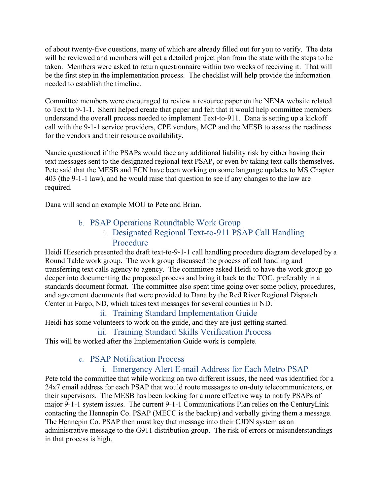of about twenty-five questions, many of which are already filled out for you to verify. The data will be reviewed and members will get a detailed project plan from the state with the steps to be taken. Members were asked to return questionnaire within two weeks of receiving it. That will be the first step in the implementation process. The checklist will help provide the information needed to establish the timeline.

Committee members were encouraged to review a resource paper on the NENA website related to Text to 9-1-1. Sherri helped create that paper and felt that it would help committee members understand the overall process needed to implement Text-to-911. Dana is setting up a kickoff call with the 9-1-1 service providers, CPE vendors, MCP and the MESB to assess the readiness for the vendors and their resource availability.

Nancie questioned if the PSAPs would face any additional liability risk by either having their text messages sent to the designated regional text PSAP, or even by taking text calls themselves. Pete said that the MESB and ECN have been working on some language updates to MS Chapter 403 (the 9-1-1 law), and he would raise that question to see if any changes to the law are required.

Dana will send an example MOU to Pete and Brian.

#### b. PSAP Operations Roundtable Work Group

#### i. Designated Regional Text-to-911 PSAP Call Handling Procedure

Heidi Hieserich presented the draft text-to-9-1-1 call handling procedure diagram developed by a Round Table work group. The work group discussed the process of call handling and transferring text calls agency to agency. The committee asked Heidi to have the work group go deeper into documenting the proposed process and bring it back to the TOC, preferably in a standards document format. The committee also spent time going over some policy, procedures, and agreement documents that were provided to Dana by the Red River Regional Dispatch Center in Fargo, ND, which takes text messages for several counties in ND.

#### ii. Training Standard Implementation Guide

Heidi has some volunteers to work on the guide, and they are just getting started.

#### iii. Training Standard Skills Verification Process

This will be worked after the Implementation Guide work is complete.

#### c. PSAP Notification Process

#### i. Emergency Alert E-mail Address for Each Metro PSAP

Pete told the committee that while working on two different issues, the need was identified for a 24x7 email address for each PSAP that would route messages to on-duty telecommunicators, or their supervisors. The MESB has been looking for a more effective way to notify PSAPs of major 9-1-1 system issues. The current 9-1-1 Communications Plan relies on the CenturyLink contacting the Hennepin Co. PSAP (MECC is the backup) and verbally giving them a message. The Hennepin Co. PSAP then must key that message into their CJDN system as an administrative message to the G911 distribution group. The risk of errors or misunderstandings in that process is high.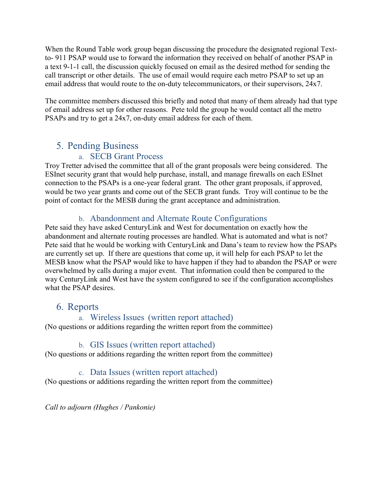When the Round Table work group began discussing the procedure the designated regional Textto- 911 PSAP would use to forward the information they received on behalf of another PSAP in a text 9-1-1 call, the discussion quickly focused on email as the desired method for sending the call transcript or other details. The use of email would require each metro PSAP to set up an email address that would route to the on-duty telecommunicators, or their supervisors, 24x7.

The committee members discussed this briefly and noted that many of them already had that type of email address set up for other reasons. Pete told the group he would contact all the metro PSAPs and try to get a 24x7, on-duty email address for each of them.

## 5. Pending Business

#### a. SECB Grant Process

Troy Tretter advised the committee that all of the grant proposals were being considered. The ESInet security grant that would help purchase, install, and manage firewalls on each ESInet connection to the PSAPs is a one-year federal grant. The other grant proposals, if approved, would be two year grants and come out of the SECB grant funds. Troy will continue to be the point of contact for the MESB during the grant acceptance and administration.

#### b. Abandonment and Alternate Route Configurations

Pete said they have asked CenturyLink and West for documentation on exactly how the abandonment and alternate routing processes are handled. What is automated and what is not? Pete said that he would be working with CenturyLink and Dana's team to review how the PSAPs are currently set up. If there are questions that come up, it will help for each PSAP to let the MESB know what the PSAP would like to have happen if they had to abandon the PSAP or were overwhelmed by calls during a major event. That information could then be compared to the way CenturyLink and West have the system configured to see if the configuration accomplishes what the PSAP desires.

## 6. Reports

#### a. Wireless Issues (written report attached)

(No questions or additions regarding the written report from the committee)

#### b. GIS Issues (written report attached)

(No questions or additions regarding the written report from the committee)

#### c. Data Issues (written report attached)

(No questions or additions regarding the written report from the committee)

*Call to adjourn (Hughes / Pankonie)*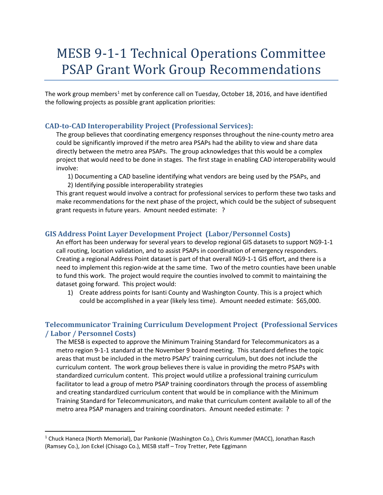# MESB 9-1-1 Technical Operations Committee PSAP Grant Work Group Recommendations

The work group members<sup>[1](#page-7-0)</sup> met by conference call on Tuesday, October 18, 2016, and have identified the following projects as possible grant application priorities:

#### **CAD-to-CAD Interoperability Project (Professional Services):**

The group believes that coordinating emergency responses throughout the nine-county metro area could be significantly improved if the metro area PSAPs had the ability to view and share data directly between the metro area PSAPs. The group acknowledges that this would be a complex project that would need to be done in stages. The first stage in enabling CAD interoperability would involve:

1) Documenting a CAD baseline identifying what vendors are being used by the PSAPs, and 2) Identifying possible interoperability strategies

This grant request would involve a contract for professional services to perform these two tasks and make recommendations for the next phase of the project, which could be the subject of subsequent grant requests in future years. Amount needed estimate: ?

#### **GIS Address Point Layer Development Project (Labor/Personnel Costs)**

An effort has been underway for several years to develop regional GIS datasets to support NG9-1-1 call routing, location validation, and to assist PSAPs in coordination of emergency responders. Creating a regional Address Point dataset is part of that overall NG9-1-1 GIS effort, and there is a need to implement this region-wide at the same time. Two of the metro counties have been unable to fund this work. The project would require the counties involved to commit to maintaining the dataset going forward. This project would:

1) Create address points for Isanti County and Washington County. This is a project which could be accomplished in a year (likely less time). Amount needed estimate: \$65,000.

#### **Telecommunicator Training Curriculum Development Project (Professional Services / Labor / Personnel Costs)**

The MESB is expected to approve the Minimum Training Standard for Telecommunicators as a metro region 9-1-1 standard at the November 9 board meeting. This standard defines the topic areas that must be included in the metro PSAPs' training curriculum, but does not include the curriculum content. The work group believes there is value in providing the metro PSAPs with standardized curriculum content. This project would utilize a professional training curriculum facilitator to lead a group of metro PSAP training coordinators through the process of assembling and creating standardized curriculum content that would be in compliance with the Minimum Training Standard for Telecommunicators, and make that curriculum content available to all of the metro area PSAP managers and training coordinators. Amount needed estimate: ?

<span id="page-7-0"></span> <sup>1</sup> Chuck Haneca (North Memorial), Dar Pankonie (Washington Co.), Chris Kummer (MACC), Jonathan Rasch (Ramsey Co.), Jon Eckel (Chisago Co.), MESB staff – Troy Tretter, Pete Eggimann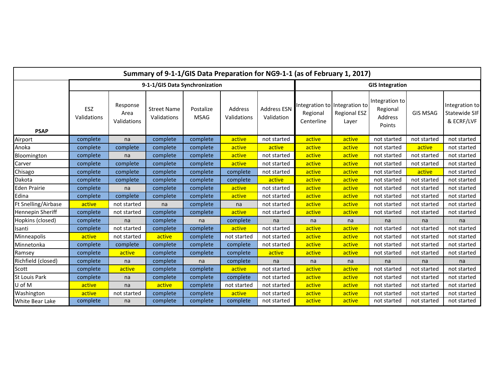| Summary of 9-1-1/GIS Data Preparation for NG9-1-1 (as of February 1, 2017) |                                |                                 |                                   |                          |                        |                           |                                                         |                              |                                                 |                 |                                               |
|----------------------------------------------------------------------------|--------------------------------|---------------------------------|-----------------------------------|--------------------------|------------------------|---------------------------|---------------------------------------------------------|------------------------------|-------------------------------------------------|-----------------|-----------------------------------------------|
|                                                                            | 9-1-1/GIS Data Synchronization |                                 |                                   |                          |                        | <b>GIS Integration</b>    |                                                         |                              |                                                 |                 |                                               |
| <b>PSAP</b>                                                                | ESZ<br>Validations             | Response<br>Area<br>Validations | <b>Street Name</b><br>Validations | Postalize<br><b>MSAG</b> | Address<br>Validations | Address ESN<br>Validation | Integration to Integration to<br>Regional<br>Centerline | <b>Regional ESZ</b><br>Layer | Integration to<br>Regional<br>Address<br>Points | <b>GIS MSAG</b> | Integration to<br>Statewide SIF<br>& ECRF/LVF |
| Airport                                                                    | complete                       | na                              | complete                          | complete                 | active                 | not started               | active                                                  | active                       | not started                                     | not started     | not started                                   |
| Anoka                                                                      | complete                       | complete                        | complete                          | complete                 | active                 | active                    | active                                                  | active                       | not started                                     | active          | not started                                   |
| Bloomington                                                                | complete                       | na                              | complete                          | complete                 | active                 | not started               | active                                                  | active                       | not started                                     | not started     | not started                                   |
| Carver                                                                     | complete                       | complete                        | complete                          | complete                 | active                 | not started               | active                                                  | active                       | not started                                     | not started     | not started                                   |
| Chisago                                                                    | complete                       | complete                        | complete                          | complete                 | complete               | not started               | active                                                  | active                       | not started                                     | active          | not started                                   |
| Dakota                                                                     | complete                       | complete                        | complete                          | complete                 | complete               | active                    | active                                                  | active                       | not started                                     | not started     | not started                                   |
| Eden Prairie                                                               | complete                       | na                              | complete                          | complete                 | active                 | not started               | active                                                  | active                       | not started                                     | not started     | not started                                   |
| Edina                                                                      | complete                       | complete                        | complete                          | complete                 | active                 | not started               | active                                                  | active                       | not started                                     | not started     | not started                                   |
| Ft Snelling/Airbase                                                        | active                         | not started                     | na                                | complete                 | na                     | not started               | active                                                  | active                       | not started                                     | not started     | not started                                   |
| Hennepin Sheriff                                                           | complete                       | not started                     | complete                          | complete                 | active                 | not started               | active                                                  | active                       | not started                                     | not started     | not started                                   |
| Hopkins (closed)                                                           | complete                       | na                              | complete                          | na                       | complete               | na                        | na                                                      | na                           | na                                              | na              | na                                            |
| Isanti                                                                     | complete                       | not started                     | complete                          | complete                 | active                 | not started               | active                                                  | active                       | not started                                     | not started     | not started                                   |
| Minneapolis                                                                | active                         | not started                     | active                            | complete                 | not started            | not started               | active                                                  | active                       | not started                                     | not started     | not started                                   |
| Minnetonka                                                                 | complete                       | complete                        | complete                          | complete                 | complete               | not started               | active                                                  | active                       | not started                                     | not started     | not started                                   |
| Ramsey                                                                     | complete                       | active                          | complete                          | complete                 | complete               | active                    | active                                                  | active                       | not started                                     | not started     | not started                                   |
| Richfield (closed)                                                         | complete                       | na                              | complete                          | na                       | complete               | na                        | na                                                      | na                           | na                                              | na              | na                                            |
| Scott                                                                      | complete                       | active                          | complete                          | complete                 | active                 | not started               | active                                                  | active                       | not started                                     | not started     | not started                                   |
| St Louis Park                                                              | complete                       | na                              | complete                          | complete                 | complete               | not started               | active                                                  | active                       | not started                                     | not started     | not started                                   |
| U of M                                                                     | active                         | na                              | active                            | complete                 | not started            | not started               | active                                                  | active                       | not started                                     | not started     | not started                                   |
| Washington                                                                 | active                         | not started                     | complete                          | complete                 | active                 | not started               | active                                                  | active                       | not started                                     | not started     | not started                                   |
| White Bear Lake                                                            | complete                       | na                              | complete                          | complete                 | complete               | not started               | active                                                  | active                       | not started                                     | not started     | not started                                   |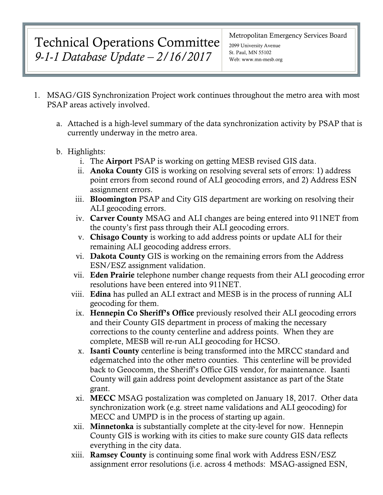# Technical Operations Committee *9-1-1 Database Update – 2/16/2017*

#### Metropolitan Emergency Services Board

2099 University Avenue St. Paul, MN 55102 Web: www.mn-mesb.org

- 1. MSAG/GIS Synchronization Project work continues throughout the metro area with most PSAP areas actively involved.
	- a. Attached is a high-level summary of the data synchronization activity by PSAP that is currently underway in the metro area.
	- b. Highlights:
		- i. The Airport PSAP is working on getting MESB revised GIS data.
		- ii. Anoka County GIS is working on resolving several sets of errors: 1) address point errors from second round of ALI geocoding errors, and 2) Address ESN assignment errors.
		- iii. Bloomington PSAP and City GIS department are working on resolving their ALI geocoding errors.
		- iv. Carver County MSAG and ALI changes are being entered into 911NET from the county's first pass through their ALI geocoding errors.
		- v. Chisago County is working to add address points or update ALI for their remaining ALI geocoding address errors.
		- vi. Dakota County GIS is working on the remaining errors from the Address ESN/ESZ assignment validation.
		- vii. Eden Prairie telephone number change requests from their ALI geocoding error resolutions have been entered into 911NET.
		- viii. Edina has pulled an ALI extract and MESB is in the process of running ALI geocoding for them.
			- ix. Hennepin Co Sheriff's Office previously resolved their ALI geocoding errors and their County GIS department in process of making the necessary corrections to the county centerline and address points. When they are complete, MESB will re-run ALI geocoding for HCSO.
			- x. Isanti County centerline is being transformed into the MRCC standard and edgematched into the other metro counties. This centerline will be provided back to Geocomm, the Sheriff's Office GIS vendor, for maintenance. Isanti County will gain address point development assistance as part of the State grant.
			- xi. MECC MSAG postalization was completed on January 18, 2017. Other data synchronization work (e.g. street name validations and ALI geocoding) for MECC and UMPD is in the process of starting up again.
		- xii. Minnetonka is substantially complete at the city-level for now. Hennepin County GIS is working with its cities to make sure county GIS data reflects everything in the city data.
		- xiii. Ramsey County is continuing some final work with Address ESN/ESZ assignment error resolutions (i.e. across 4 methods: MSAG-assigned ESN,